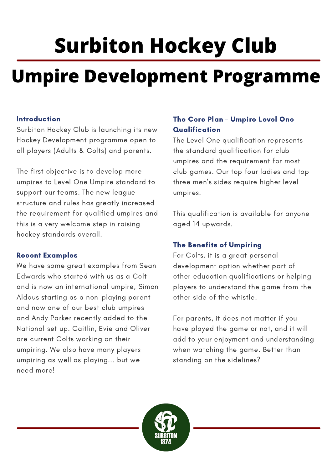# **Surbiton Hockey Club**

# **Umpire Development Programme**

## Introduction

Surbiton Hockey Club is launching its new Hockey Development programme open to all players (Adults & Colts) and parents.

The first objective is to develop more umpires to Level One Umpire standard to support our teams. The new league structure and rules has greatly increased the requirement for qualified umpires and this is a very welcome step in raising hockey standards overall.

# Recent Examples

We have some great examples from Sean Edwards who started with us as a Colt and is now an international umpire, Simon Aldous starting as a non-playing parent and now one of our best club umpires and Andy Parker recently added to the National set up. Caitlin, Evie and Oliver are current Colts working on their umpiring. We also have many players umpiring as well as playing... but we need more!

# The Core Plan – Umpire Level One **Qualification**

The Level One qualification represents the standard qualification for club umpires and the requirement for most club games. Our top four ladies and top three men's sides require higher level umpires.

This qualification is available for anyone aged 14 upwards.

# The Benefits of Umpiring

For Colts, it is a great personal development option whether part of other education qualifications or helping players to understand the game from the other side of the whistle.

For parents, it does not matter if you have played the game or not, and it will add to your enjoyment and understanding when watching the game. Better than standing on the sidelines?

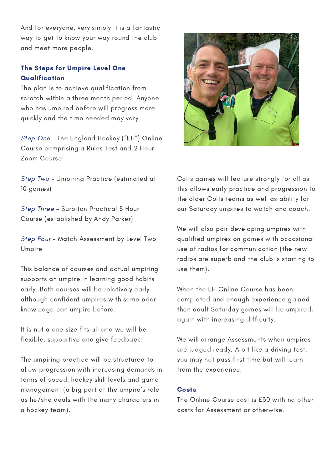And for everyone, very simply it is a fantastic way to get to know your way round the club and meet more people.

### The Steps for Umpire Level One **Qualification**

The plan is to achieve qualification from scratch within a three month period. Anyone who has umpired before will progress more quickly and the time needed may vary.

Step One – The England Hockey ("EH") Online Course comprising a Rules Test and 2 Hour Zoom Course

Step Two – Umpiring Practice (estimated at 10 games)

Step Three – Surbiton Practical 3 Hour Course (established by Andy Parker)

Step Four – Match Assessment by Level Two Umpire

This balance of courses and actual umpiring supports an umpire in learning good habits early. Both courses will be relatively early although confident umpires with some prior knowledge can umpire before.

It is not a one size fits all and we will be flexible, supportive and give feedback.

The umpiring practice will be structured to allow progression with increasing demands in terms of speed, hockey skill levels and game management (a big part of the umpire's role as he/she deals with the many characters in a hockey team).



Colts games will feature strongly for all as this allows early practice and progression to the older Colts teams as well as ability for our Saturday umpires to watch and coach.

We will also pair developing umpires with qualified umpires on games with occasional use of radios for communication (the new radios are superb and the club is starting to use them).

When the EH Online Course has been completed and enough experience gained then adult Saturday games will be umpired, again with increasing difficulty.

We will arrange Assessments when umpires are judged ready. A bit like a driving test, you may not pass first time but will learn from the experience.

#### **Costs**

The Online Course cost is £30 with no other costs for Assessment or otherwise.